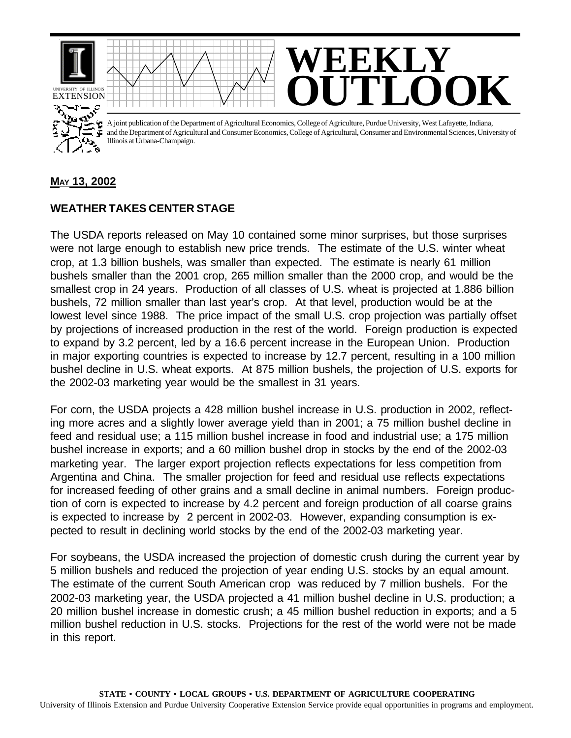

## **MAY 13, 2002**

## **WEATHER TAKES CENTER STAGE**

The USDA reports released on May 10 contained some minor surprises, but those surprises were not large enough to establish new price trends. The estimate of the U.S. winter wheat crop, at 1.3 billion bushels, was smaller than expected. The estimate is nearly 61 million bushels smaller than the 2001 crop, 265 million smaller than the 2000 crop, and would be the smallest crop in 24 years. Production of all classes of U.S. wheat is projected at 1.886 billion bushels, 72 million smaller than last year's crop. At that level, production would be at the lowest level since 1988. The price impact of the small U.S. crop projection was partially offset by projections of increased production in the rest of the world. Foreign production is expected to expand by 3.2 percent, led by a 16.6 percent increase in the European Union. Production in major exporting countries is expected to increase by 12.7 percent, resulting in a 100 million bushel decline in U.S. wheat exports. At 875 million bushels, the projection of U.S. exports for the 2002-03 marketing year would be the smallest in 31 years.

For corn, the USDA projects a 428 million bushel increase in U.S. production in 2002, reflecting more acres and a slightly lower average yield than in 2001; a 75 million bushel decline in feed and residual use; a 115 million bushel increase in food and industrial use; a 175 million bushel increase in exports; and a 60 million bushel drop in stocks by the end of the 2002-03 marketing year. The larger export projection reflects expectations for less competition from Argentina and China. The smaller projection for feed and residual use reflects expectations for increased feeding of other grains and a small decline in animal numbers. Foreign production of corn is expected to increase by 4.2 percent and foreign production of all coarse grains is expected to increase by 2 percent in 2002-03. However, expanding consumption is expected to result in declining world stocks by the end of the 2002-03 marketing year.

For soybeans, the USDA increased the projection of domestic crush during the current year by 5 million bushels and reduced the projection of year ending U.S. stocks by an equal amount. The estimate of the current South American crop was reduced by 7 million bushels. For the 2002-03 marketing year, the USDA projected a 41 million bushel decline in U.S. production; a 20 million bushel increase in domestic crush; a 45 million bushel reduction in exports; and a 5 million bushel reduction in U.S. stocks. Projections for the rest of the world were not be made in this report.